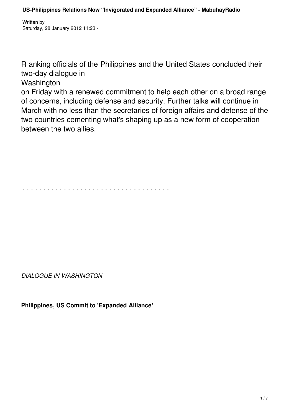R anking officials of the Philippines and the United States concluded their two-day dialogue in

Washington

on Friday with a renewed commitment to help each other on a broad range of concerns, including defense and security. Further talks will continue in March with no less than the secretaries of foreign affairs and defense of the two countries cementing what's shaping up as a new form of cooperation between the two allies.

. . . . . . . . . . . . . . . . . . . . . . . . . . . . . . . . . . . .

*DIALOGUE IN WASHINGTON*

**Philippines, US Commit to 'Expanded Alliance'**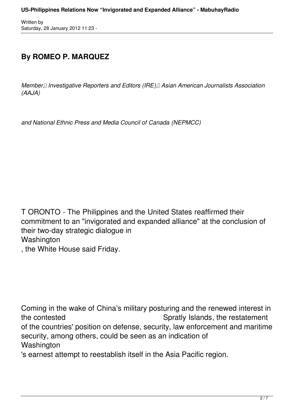## **By ROMEO P. MARQUEZ**

*Member, Investigative Reporters and Editors (IRE), Asian American Journalists Association (AAJA)*

*and National Ethnic Press and Media Council of Canada (NEPMCC)*

T ORONTO - The Philippines and the United States reaffirmed their commitment to an "invigorated and expanded alliance" at the conclusion of their two-day strategic dialogue in **Washington** 

, the White House said Friday.

Coming in the wake of China's military posturing and the renewed interest in the contested Spratly Islands, the restatement of the countries' position on defense, security, law enforcement and maritime security, among others, could be seen as an indication of **Washington** 

's earnest attempt to reestablish itself in the Asia Pacific region.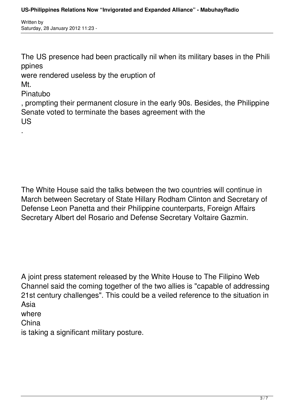The US presence had been practically nil when its military bases in the Phili ppines

were rendered useless by the eruption of

Mt.

.

Pinatubo

, prompting their permanent closure in the early 90s. Besides, the Philippine Senate voted to terminate the bases agreement with the US

The White House said the talks between the two countries will continue in March between Secretary of State Hillary Rodham Clinton and Secretary of Defense Leon Panetta and their Philippine counterparts, Foreign Affairs Secretary Albert del Rosario and Defense Secretary Voltaire Gazmin.

A joint press statement released by the White House to The Filipino Web Channel said the coming together of the two allies is "capable of addressing 21st century challenges". This could be a veiled reference to the situation in Asia where

China

is taking a significant military posture.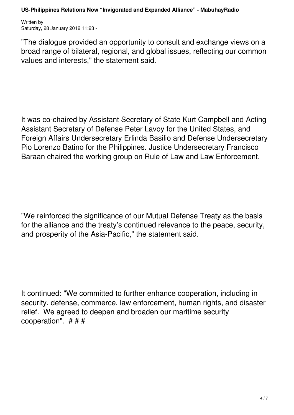"The dialogue provided an opportunity to consult and exchange views on a broad range of bilateral, regional, and global issues, reflecting our common values and interests," the statement said.

It was co-chaired by Assistant Secretary of State Kurt Campbell and Acting Assistant Secretary of Defense Peter Lavoy for the United States, and Foreign Affairs Undersecretary Erlinda Basilio and Defense Undersecretary Pio Lorenzo Batino for the Philippines. Justice Undersecretary Francisco Baraan chaired the working group on Rule of Law and Law Enforcement.

"We reinforced the significance of our Mutual Defense Treaty as the basis for the alliance and the treaty's continued relevance to the peace, security, and prosperity of the Asia-Pacific," the statement said.

It continued: "We committed to further enhance cooperation, including in security, defense, commerce, law enforcement, human rights, and disaster relief. We agreed to deepen and broaden our maritime security cooperation". # # #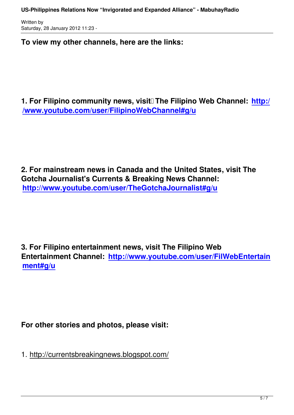Written by

**To view my other channels, here are the links:**

**1. For Filipino community news, visit** The Filipino Web Channel: http:/ **/www.youtube.com/user/FilipinoWebChannel#g/u**

**2. For mainstream news in Canada and the United States, visit The Gotcha Journalist's Currents & Breaking News Channel: http://www.youtube.com/user/TheGotchaJournalist#g/u**

**3. For Filipino entertainment news, visit The Filipino Web Entertainment Channel: http://www.youtube.com/user/FilWebEntertain ment#g/u**

**For other stories and photos, please visit:**

1. http://currentsbreakingnews.blogspot.com/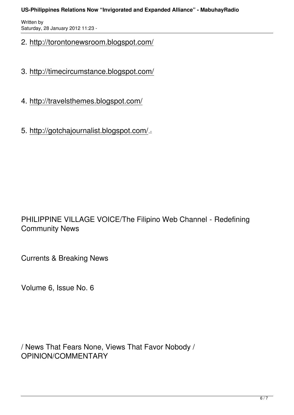## **US-Philippines Relations Now "Invigorated and Expanded Alliance" - MabuhayRadio**

Written by Saturday, 28 January 2012 11:23 -

## 2. http://torontonewsroom.blogspot.com/

- 3. http://timecircumstance.blogspot.com/
- 4. http://travelsthemes.blogspot.com/
- 5. http://gotchajournalist.blogspot.com/ .

PHILIPPINE VILLAGE VOICE/The Filipino Web Channel - Redefining Community News

Currents & Breaking News

Volume 6, Issue No. 6

/ News That Fears None, Views That Favor Nobody / OPINION/COMMENTARY